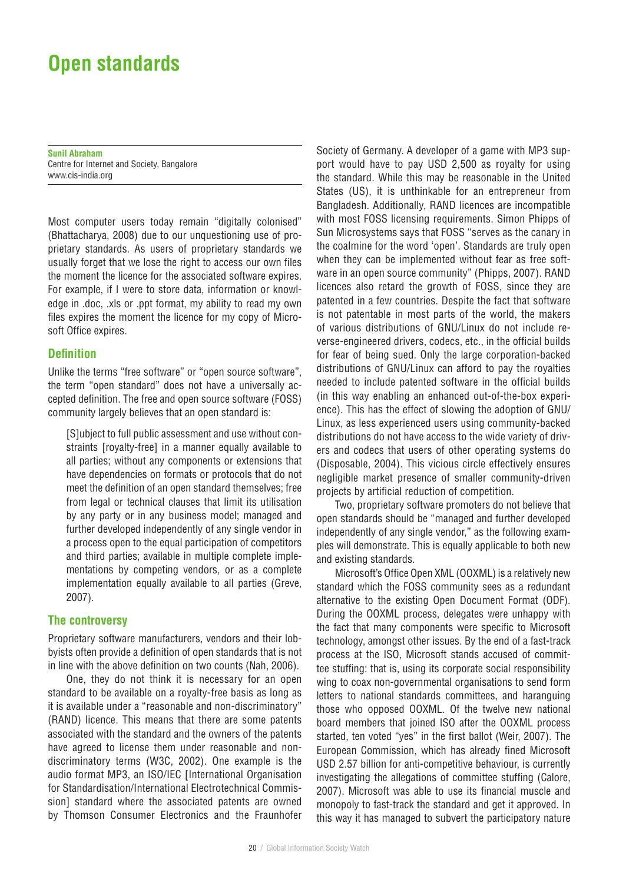# **Open standards**

**Sunil Abraham** Centre for Internet and Society, Bangalore www.cis-india.org

Most computer users today remain "digitally colonised" (Bhattacharya, 2008) due to our unquestioning use of proprietary standards. As users of proprietary standards we usually forget that we lose the right to access our own files the moment the licence for the associated software expires. For example, if I were to store data, information or knowledge in .doc, .xls or .ppt format, my ability to read my own files expires the moment the licence for my copy of Microsoft Office expires.

### **Definition**

Unlike the terms "free software" or "open source software", the term "open standard" does not have a universally accepted definition. The free and open source software (FOSS) community largely believes that an open standard is:

[S]ubject to full public assessment and use without constraints [royalty-free] in a manner equally available to all parties; without any components or extensions that have dependencies on formats or protocols that do not meet the definition of an open standard themselves; free from legal or technical clauses that limit its utilisation by any party or in any business model; managed and further developed independently of any single vendor in a process open to the equal participation of competitors and third parties; available in multiple complete implementations by competing vendors, or as a complete implementation equally available to all parties (Greve, 2007).

## **The controversy**

Proprietary software manufacturers, vendors and their lobbyists often provide a definition of open standards that is not in line with the above definition on two counts (Nah, 2006).

One, they do not think it is necessary for an open standard to be available on a royalty-free basis as long as it is available under a "reasonable and non-discriminatory" (RAND) licence. This means that there are some patents associated with the standard and the owners of the patents have agreed to license them under reasonable and nondiscriminatory terms (W3C, 2002). One example is the audio format MP3, an ISO/IEC [International Organisation for Standardisation/International Electrotechnical Commission] standard where the associated patents are owned by Thomson Consumer Electronics and the Fraunhofer Society of Germany. A developer of a game with MP3 support would have to pay USD 2,500 as royalty for using the standard. While this may be reasonable in the United States (US), it is unthinkable for an entrepreneur from Bangladesh. Additionally, RAND licences are incompatible with most FOSS licensing requirements. Simon Phipps of Sun Microsystems says that FOSS "serves as the canary in the coalmine for the word 'open'. Standards are truly open when they can be implemented without fear as free software in an open source community" (Phipps, 2007). RAND licences also retard the growth of FOSS, since they are patented in a few countries. Despite the fact that software is not patentable in most parts of the world, the makers of various distributions of GNU/Linux do not include reverse-engineered drivers, codecs, etc., in the official builds for fear of being sued. Only the large corporation-backed distributions of GNU/Linux can afford to pay the royalties needed to include patented software in the official builds (in this way enabling an enhanced out-of-the-box experience). This has the effect of slowing the adoption of GNU/ Linux, as less experienced users using community-backed distributions do not have access to the wide variety of drivers and codecs that users of other operating systems do (Disposable, 2004). This vicious circle effectively ensures negligible market presence of smaller community-driven projects by artificial reduction of competition.

Two, proprietary software promoters do not believe that open standards should be "managed and further developed independently of any single vendor," as the following examples will demonstrate. This is equally applicable to both new and existing standards.

Microsoft's Office Open XML (OOXML) is a relatively new standard which the FOSS community sees as a redundant alternative to the existing Open Document Format (ODF). During the OOXML process, delegates were unhappy with the fact that many components were specific to Microsoft technology, amongst other issues. By the end of a fast-track process at the ISO, Microsoft stands accused of committee stuffing: that is, using its corporate social responsibility wing to coax non-governmental organisations to send form letters to national standards committees, and haranguing those who opposed OOXML. Of the twelve new national board members that joined ISO after the OOXML process started, ten voted "yes" in the first ballot (Weir, 2007). The European Commission, which has already fined Microsoft USD 2.57 billion for anti-competitive behaviour, is currently investigating the allegations of committee stuffing (Calore, 2007). Microsoft was able to use its financial muscle and monopoly to fast-track the standard and get it approved. In this way it has managed to subvert the participatory nature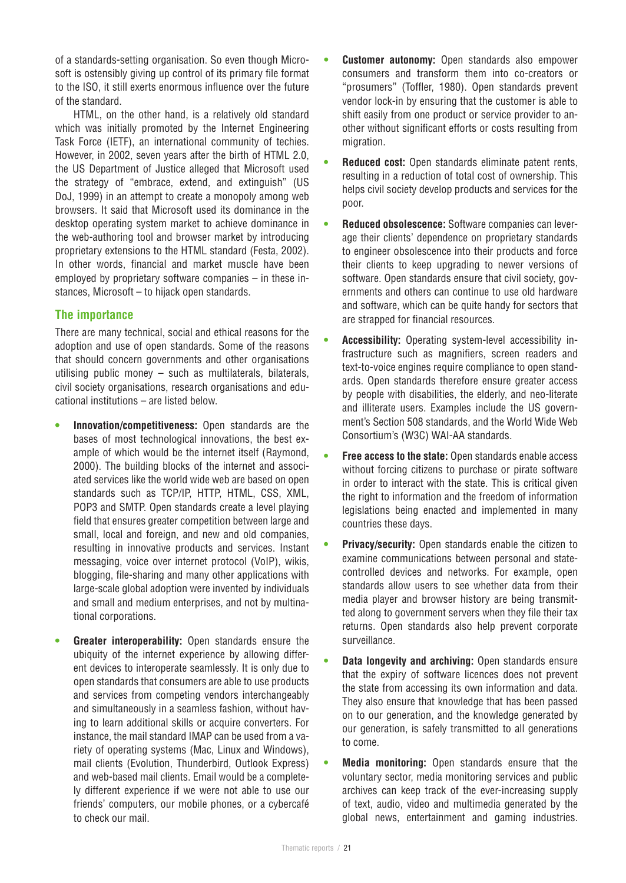of a standards-setting organisation. So even though Microsoft is ostensibly giving up control of its primary file format to the ISO, it still exerts enormous influence over the future of the standard.

HTML, on the other hand, is a relatively old standard which was initially promoted by the Internet Engineering Task Force (IETF), an international community of techies. However, in 2002, seven years after the birth of HTML 2.0, the US Department of Justice alleged that Microsoft used the strategy of "embrace, extend, and extinguish" (US DoJ, 1999) in an attempt to create a monopoly among web browsers. It said that Microsoft used its dominance in the desktop operating system market to achieve dominance in the web-authoring tool and browser market by introducing proprietary extensions to the HTML standard (Festa, 2002). In other words, financial and market muscle have been employed by proprietary software companies – in these instances, Microsoft – to hijack open standards.

# **The importance**

There are many technical, social and ethical reasons for the adoption and use of open standards. Some of the reasons that should concern governments and other organisations utilising public money – such as multilaterals, bilaterals, civil society organisations, research organisations and educational institutions – are listed below.

- **Innovation/competitiveness:** Open standards are the bases of most technological innovations, the best example of which would be the internet itself (Raymond, 2000). The building blocks of the internet and associated services like the world wide web are based on open standards such as TCP/IP, HTTP, HTML, CSS, XML, POP3 and SMTP. Open standards create a level playing field that ensures greater competition between large and small, local and foreign, and new and old companies, resulting in innovative products and services. Instant messaging, voice over internet protocol (VoIP), wikis, blogging, file-sharing and many other applications with large-scale global adoption were invented by individuals and small and medium enterprises, and not by multinational corporations.
- **Greater interoperability:** Open standards ensure the ubiquity of the internet experience by allowing different devices to interoperate seamlessly. It is only due to open standards that consumers are able to use products and services from competing vendors interchangeably and simultaneously in a seamless fashion, without having to learn additional skills or acquire converters. For instance, the mail standard IMAP can be used from a variety of operating systems (Mac, Linux and Windows), mail clients (Evolution, Thunderbird, Outlook Express) and web-based mail clients. Email would be a completely different experience if we were not able to use our friends' computers, our mobile phones, or a cybercafé to check our mail.
- **Customer autonomy:** Open standards also empower consumers and transform them into co-creators or "prosumers" (Toffler, 1980). Open standards prevent vendor lock-in by ensuring that the customer is able to shift easily from one product or service provider to another without significant efforts or costs resulting from migration.
- **Reduced cost:** Open standards eliminate patent rents, resulting in a reduction of total cost of ownership. This helps civil society develop products and services for the poor.
- **Reduced obsolescence:** Software companies can leverage their clients' dependence on proprietary standards to engineer obsolescence into their products and force their clients to keep upgrading to newer versions of software. Open standards ensure that civil society, governments and others can continue to use old hardware and software, which can be quite handy for sectors that are strapped for financial resources.
- **Accessibility:** Operating system-level accessibility infrastructure such as magnifiers, screen readers and text-to-voice engines require compliance to open standards. Open standards therefore ensure greater access by people with disabilities, the elderly, and neo-literate and illiterate users. Examples include the US government's Section 508 standards, and the World Wide Web Consortium's (W3C) WAI-AA standards.
- **Free access to the state:** Open standards enable access without forcing citizens to purchase or pirate software in order to interact with the state. This is critical given the right to information and the freedom of information legislations being enacted and implemented in many countries these days.
- **Privacy/security:** Open standards enable the citizen to examine communications between personal and statecontrolled devices and networks. For example, open standards allow users to see whether data from their media player and browser history are being transmitted along to government servers when they file their tax returns. Open standards also help prevent corporate surveillance.
- **Data longevity and archiving: Open standards ensure** that the expiry of software licences does not prevent the state from accessing its own information and data. They also ensure that knowledge that has been passed on to our generation, and the knowledge generated by our generation, is safely transmitted to all generations to come.
- **Media monitoring:** Open standards ensure that the voluntary sector, media monitoring services and public archives can keep track of the ever-increasing supply of text, audio, video and multimedia generated by the global news, entertainment and gaming industries.